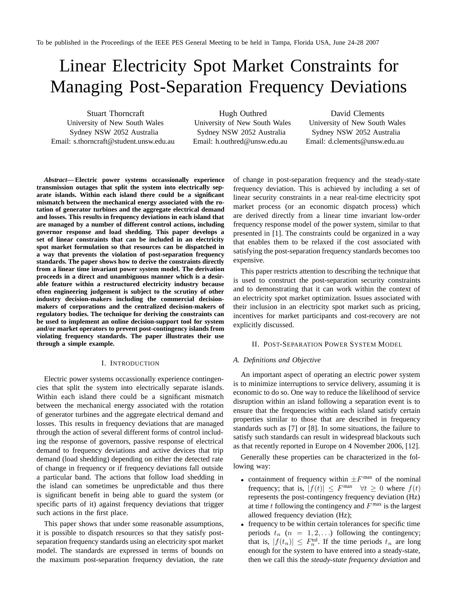# Linear Electricity Spot Market Constraints for Managing Post-Separation Frequency Deviations

Stuart Thorncraft University of New South Wales Sydney NSW 2052 Australia Email: s.thorncraft@student.unsw.edu.au

Hugh Outhred University of New South Wales Sydney NSW 2052 Australia Email: h.outhred@unsw.edu.au

David Clements University of New South Wales Sydney NSW 2052 Australia Email: d.clements@unsw.edu.au

*Abstract***— Electric power systems occassionally experience transmission outages that split the system into electrically separate islands. Within each island there could be a significant mismatch between the mechanical energy associated with the rotation of generator turbines and the aggregate electrical demand and losses. This results in frequency deviations in each island that are managed by a number of different control actions, including governor response and load shedding. This paper develops a set of linear constraints that can be included in an electricity spot market formulation so that resources can be dispatched in a way that prevents the violation of post-separation frequency standards. The paper shows how to derive the constraints directly from a linear time invariant power system model. The derivation proceeds in a direct and unambiguous manner which is a desirable feature within a restructured electricity industry because often engineering judgement is subject to the scrutiny of other industry decision-makers including the commercial decisionmakers of corporations and the centralized decision-makers of regulatory bodies. The technique for deriving the constraints can be used to implement an online decision-support tool for system and/or market operators to prevent post-contingency islands from violating frequency standards. The paper illustrates their use through a simple example.**

#### I. INTRODUCTION

Electric power systems occassionally experience contingencies that split the system into electrically separate islands. Within each island there could be a significant mismatch between the mechanical energy associated with the rotation of generator turbines and the aggregate electrical demand and losses. This results in frequency deviations that are managed through the action of several different forms of control including the response of governors, passive response of electrical demand to frequency deviations and active devices that trip demand (load shedding) depending on either the detected rate of change in frequency or if frequency deviations fall outside a particular band. The actions that follow load shedding in the island can sometimes be unpredictable and thus there is significant benefit in being able to guard the system (or specific parts of it) against frequency deviations that trigger such actions in the first place.

This paper shows that under some reasonable assumptions, it is possible to dispatch resources so that they satisfy postseparation frequency standards using an electricity spot market model. The standards are expressed in terms of bounds on the maximum post-separation frequency deviation, the rate of change in post-separation frequency and the steady-state frequency deviation. This is achieved by including a set of linear security constraints in a near real-time electricity spot market process (or an economic dispatch process) which are derived directly from a linear time invariant low-order frequency response model of the power system, similar to that presented in [1]. The constraints could be organized in a way that enables them to be relaxed if the cost associated with satisfying the post-separation frequency standards becomes too expensive.

This paper restricts attention to describing the technique that is used to construct the post-separation security constraints and to demonstrating that it can work within the context of an electricity spot market optimization. Issues associated with their inclusion in an electricity spot market such as pricing, incentives for market participants and cost-recovery are not explicitly discussed.

### II. POST-SEPARATION POWER SYSTEM MODEL

# *A. Definitions and Objective*

An important aspect of operating an electric power system is to minimize interruptions to service delivery, assuming it is economic to do so. One way to reduce the likelihood of service disruption within an island following a separation event is to ensure that the frequencies within each island satisfy certain properties similar to those that are described in frequency standards such as [7] or [8]. In some situations, the failure to satisfy such standards can result in widespread blackouts such as that recently reported in Europe on 4 November 2006, [12].

Generally these properties can be characterized in the following way:

- containment of frequency within  $\pm F^{\max}$  of the nominal frequency; that is,  $|f(t)| \leq F^{\max}$   $\forall t \geq 0$  where  $f(t)$ represents the post-contingency frequency deviation (Hz) at time t following the contingency and  $F^{\text{max}}$  is the largest allowed frequency deviation (Hz);
- frequency to be within certain tolerances for specific time periods  $t_n$  ( $n = 1, 2, \ldots$ ) following the contingency; that is,  $|f(t_n)| \leq F_n^{\text{tol}}$ . If the time periods  $t_n$  are long enough for the system to have entered into a steady-state, then we call this the *steady-state frequency deviation* and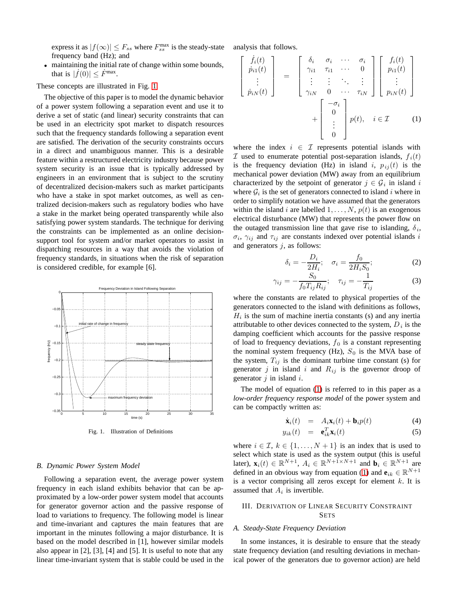express it as  $|f(\infty)| \leq F_{ss}$  where  $F_{ss}^{\text{max}}$  is the steady-state frequency band (Hz); and analysis that follows.

• maintaining the initial rate of change within some bounds, that is  $|f(0)| \leq F^{\max}$ .

These concepts are illustrated in Fig. [1.](#page-1-0)

The objective of this paper is to model the dynamic behavior of a power system following a separation event and use it to derive a set of static (and linear) security constraints that can be used in an electricity spot market to dispatch resources such that the frequency standards following a separation event are satisfied. The derivation of the security constraints occurs in a direct and unambiguous manner. This is a desirable feature within a restructured electricity industry because power system security is an issue that is typically addressed by engineers in an environment that is subject to the scrutiny of decentralized decision-makers such as market participants who have a stake in spot market outcomes, as well as centralized decision-makers such as regulatory bodies who have a stake in the market being operated transparently while also satisfying power system standards. The technique for deriving the constraints can be implemented as an online decisionsupport tool for system and/or market operators to assist in dispatching resources in a way that avoids the violation of frequency standards, in situations when the risk of separation is considered credible, for example [6].



<span id="page-1-0"></span>Fig. 1. Illustration of Definitions

### *B. Dynamic Power System Model*

Following a separation event, the average power system frequency in each island exhibits behavior that can be approximated by a low-order power system model that accounts for generator governor action and the passive response of load to variations to frequency. The following model is linear and time-invariant and captures the main features that are important in the minutes following a major disturbance. It is based on the model described in [1], however similar models also appear in [2], [3], [4] and [5]. It is useful to note that any linear time-invariant system that is stable could be used in the

<span id="page-1-1"></span>
$$
\begin{bmatrix}\n\dot{f}_i(t) \\
\dot{p}_{i1}(t) \\
\vdots \\
\dot{p}_{iN}(t)\n\end{bmatrix} = \begin{bmatrix}\n\delta_i & \sigma_i & \cdots & \sigma_i \\
\gamma_{i1} & \tau_{i1} & \cdots & 0 \\
\vdots & \vdots & \ddots & \vdots \\
\gamma_{iN} & 0 & \cdots & \tau_{iN}\n\end{bmatrix} \begin{bmatrix}\nf_i(t) \\
p_{i1}(t) \\
\vdots \\
p_{iN}(t)\n\end{bmatrix} + \begin{bmatrix}\n-\sigma_i \\
0 \\
\vdots \\
0\n\end{bmatrix} p(t), \quad i \in \mathcal{I}
$$
\n(1)

where the index  $i \in \mathcal{I}$  represents potential islands with  $I$  used to enumerate potential post-separation islands,  $f_i(t)$ is the frequency deviation (Hz) in island i,  $p_{ij}(t)$  is the mechanical power deviation (MW) away from an equilibrium characterized by the setpoint of generator  $j \in \mathcal{G}_i$  in island i where  $\mathcal{G}_i$  is the set of generators connected to island i where in order to simplify notation we have assumed that the generators within the island i are labelled  $1, \ldots, N$ ,  $p(t)$  is an exogenous electrical disturbance (MW) that represents the power flow on the outaged transmission line that gave rise to islanding,  $\delta_i$ ,  $\sigma_i$ ,  $\gamma_{ij}$  and  $\tau_{ij}$  are constants indexed over potential islands i and generators  $j$ , as follows:

$$
\delta_i = -\frac{D_i}{2H_i}; \quad \sigma_i = \frac{f_0}{2H_i S_0}; \tag{2}
$$

$$
\gamma_{ij} = -\frac{S_0}{f_0 T_{ij} R_{ij}}; \quad \tau_{ij} = -\frac{1}{T_{ij}} \tag{3}
$$

where the constants are related to physical properties of the generators connected to the island with definitions as follows,  $H_i$  is the sum of machine inertia constants (s) and any inertia attributable to other devices connected to the system,  $D_i$  is the damping coefficient which accounts for the passive response of load to frequency deviations,  $f_0$  is a constant representing the nominal system frequency (Hz),  $S_0$  is the MVA base of the system,  $T_{ij}$  is the dominant turbine time constant (s) for generator  $j$  in island  $i$  and  $R_{ij}$  is the governor droop of generator  $j$  in island  $i$ .

The model of equation [\(1\)](#page-1-1) is referred to in this paper as a *low-order frequency response model* of the power system and can be compactly written as:

$$
\dot{\mathbf{x}}_i(t) = A_i \mathbf{x}_i(t) + \mathbf{b}_i p(t) \tag{4}
$$

$$
y_{ik}(t) = \mathbf{e}_{ik}^T \mathbf{x}_i(t) \tag{5}
$$

<span id="page-1-2"></span>where  $i \in \mathcal{I}, k \in \{1, \ldots, N+1\}$  is an index that is used to select which state is used as the system output (this is useful later),  $\mathbf{x}_i(t) \in \mathbb{R}^{N+1}$ ,  $A_i \in \mathbb{R}^{N+1 \times N+1}$  and  $\mathbf{b}_i \in \mathbb{R}^{N+1}$  are defined in an obvious way from equation ([1\)](#page-1-1) and  $\mathbf{e}_{ik} \in \mathbb{R}^{N+1}$ is a vector comprising all zeros except for element  $k$ . It is assumed that  $A_i$  is invertible.

# III. DERIVATION OF LINEAR SECURITY CONSTRAINT SETS

#### <span id="page-1-3"></span>*A. Steady-State Frequency Deviation*

In some instances, it is desirable to ensure that the steady state frequency deviation (and resulting deviations in mechanical power of the generators due to governor action) are held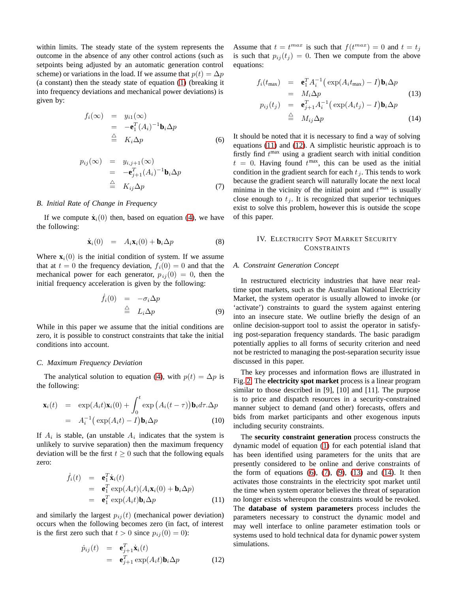within limits. The steady state of the system represents the outcome in the absence of any other control actions (such as setpoints being adjusted by an automatic generation control scheme) or variations in the load. If we assume that  $p(t)=\Delta p$ (a constant) then the steady state of equation ([1\)](#page-1-1) (breaking it into frequency deviations and mechanical power deviations) is given by:

<span id="page-2-2"></span>
$$
f_i(\infty) = y_{i1}(\infty)
$$
  
=  $-\mathbf{e}_1^T (A_i)^{-1} \mathbf{b}_i \Delta p$   
 $\stackrel{\triangle}{=} K_i \Delta p$  (6)

$$
p_{ij}(\infty) = y_{i,j+1}(\infty)
$$
  
=  $-\mathbf{e}_{j+1}^T (A_i)^{-1} \mathbf{b}_i \Delta p$   
 $\stackrel{\triangle}{=} K_{ij} \Delta p$  (7)

# <span id="page-2-3"></span>*B. Initial Rate of Change in Frequency*

If we compute  $\dot{\mathbf{x}}_i(0)$  then, based on equation [\(4\)](#page-1-2), we have the following:

$$
\dot{\mathbf{x}}_i(0) = A_i \mathbf{x}_i(0) + \mathbf{b}_i \Delta p \tag{8}
$$

Where  $\mathbf{x}_i(0)$  is the initial condition of system. If we assume that at  $t = 0$  the frequency deviation,  $f_i(0) = 0$  and that the mechanical power for each generator,  $p_{ij}(0) = 0$ , then the initial frequency acceleration is given by the following:

$$
\dot{f}_i(0) = -\sigma_i \Delta p \n\triangleq L_i \Delta p
$$
\n(9)

<span id="page-2-4"></span>While in this paper we assume that the initial conditions are zero, it is possible to construct constraints that take the initial conditions into account.

#### <span id="page-2-7"></span>*C. Maximum Frequency Deviation*

The analytical solution to equation ([4\)](#page-1-2), with  $p(t)=\Delta p$  is the following:

$$
\mathbf{x}_{i}(t) = \exp(A_{i}t)\mathbf{x}_{i}(0) + \int_{0}^{t} \exp(A_{i}(t-\tau))\mathbf{b}_{i}d\tau \cdot \Delta p
$$

$$
= A_{i}^{-1}(\exp(A_{i}t) - I)\mathbf{b}_{i}\Delta p \qquad (10)
$$

If  $A_i$  is stable, (an unstable  $A_i$  indicates that the system is unlikely to survive separation) then the maximum frequency deviation will be the first  $t > 0$  such that the following equals zero:

$$
\dot{f}_i(t) = \mathbf{e}_1^T \dot{\mathbf{x}}_i(t)
$$
\n
$$
= \mathbf{e}_1^T \exp(A_i t) (A_i \mathbf{x}_i(0) + \mathbf{b}_i \Delta p)
$$
\n
$$
= \mathbf{e}_1^T \exp(A_i t) \mathbf{b}_i \Delta p
$$
\n(11)

<span id="page-2-1"></span><span id="page-2-0"></span>and similarly the largest  $p_{ij}(t)$  (mechanical power deviation) occurs when the following becomes zero (in fact, of interest is the first zero such that  $t > 0$  since  $p_{ij}(0) = 0$ ):

$$
\dot{p}_{ij}(t) = \mathbf{e}_{j+1}^T \dot{\mathbf{x}}_i(t) \n= \mathbf{e}_{j+1}^T \exp(A_i t) \mathbf{b}_i \Delta p
$$
\n(12)

<span id="page-2-5"></span>Assume that  $t = t^{max}$  is such that  $f(t^{max}) = 0$  and  $t = t_j$ is such that  $p_{ij}(t_j)=0$ . Then we compute from the above equations:

$$
f_i(t_{\max}) = \mathbf{e}_1^T A_i^{-1} \big( \exp(A_i t_{\max}) - I \big) \mathbf{b}_i \Delta p
$$
  
\n
$$
= M_i \Delta p
$$
  
\n
$$
p_{ij}(t_j) = \mathbf{e}_{j+1}^T A_i^{-1} \big( \exp(A_i t_j) - I \big) \mathbf{b}_i \Delta p
$$
\n(13)

$$
t_j) = \mathbf{e}_{j+1}^T A_i^{-1} \big( \exp(A_i t_j) - I \big) \mathbf{b}_i \Delta p
$$
  
\n
$$
\stackrel{\triangle}{=} M_{ij} \Delta p \tag{14}
$$

It should be noted that it is necessary to find a way of solving equations [\(11\)](#page-2-0) and [\(12\)](#page-2-1). A simplistic heuristic approach is to firstly find  $t^{max}$  using a gradient search with initial condition  $t = 0$ . Having found  $t^{max}$ , this can be used as the initial condition in the gradient search for each  $t_j$ . This tends to work because the gradient search will naturally locate the next local minima in the vicinity of the initial point and  $t^{\max}$  is usually close enough to  $t_i$ . It is recognized that superior techniques exist to solve this problem, however this is outside the scope of this paper.

# IV. ELECTRICITY SPOT MARKET SECURITY CONSTRAINTS

#### <span id="page-2-6"></span>*A. Constraint Generation Concept*

In restructured electricity industries that have near realtime spot markets, such as the Australian National Electricity Market, the system operator is usually allowed to invoke (or 'activate') constraints to guard the system against entering into an insecure state. We outline briefly the design of an online decision-support tool to assist the operator in satisfying post-separation frequency standards. The basic paradigm potentially applies to all forms of security criterion and need not be restricted to managing the post-separation security issue discussed in this paper.

The key processes and information flows are illustrated in Fig. [2.](#page-3-0) The **electricity spot market** process is a linear program similar to those described in [9], [10] and [11]. The purpose is to price and dispatch resources in a security-constrained manner subject to demand (and other) forecasts, offers and bids from market participants and other exogenous inputs including security constraints.

The **security constraint generation** process constructs the dynamic model of equation [\(1\)](#page-1-1) for each potential island that has been identified using parameters for the units that are presently considered to be online and derive constraints of the form of equations  $(6)$ ,  $(7)$ ,  $(9)$ ,  $(13)$  and  $(14)$ . It then activates those constraints in the electricity spot market until the time when system operator believes the threat of separation no longer exists whereupon the constraints would be revoked. The **database of system parameters** process includes the parameters necessary to construct the dynamic model and may well interface to online parameter estimation tools or systems used to hold technical data for dynamic power system simulations.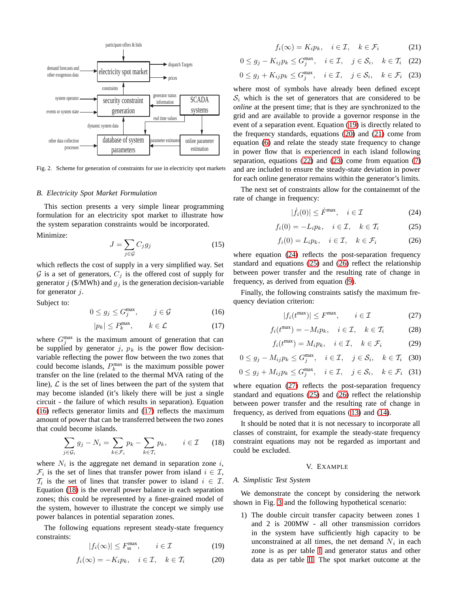

<span id="page-3-0"></span>Fig. 2. Scheme for generation of constraints for use in electricity spot markets

#### *B. Electricity Spot Market Formulation*

This section presents a very simple linear programming formulation for an electricity spot market to illustrate how the system separation constraints would be incorporated. Minimize:

$$
J = \sum_{j \in \mathcal{G}} C_j g_j \tag{15}
$$

which reflects the cost of supply in a very simplified way. Set  $G$  is a set of generators,  $C_j$  is the offered cost of supply for generator  $j$  (\$/MWh) and  $g_j$  is the generation decision-variable for generator  $j$ .

<span id="page-3-1"></span>Subject to:

$$
0 \le g_j \le G_j^{\max}, \qquad j \in \mathcal{G} \tag{16}
$$

$$
|p_k| \le P_k^{\max}, \qquad k \in \mathcal{L} \tag{17}
$$

<span id="page-3-2"></span>where  $G_j^{\text{max}}$  is the maximum amount of generation that can be supplied by generator  $j$ ,  $p_k$  is the power flow decisionvariable reflecting the power flow between the two zones that could become islands,  $P_k^{\text{max}}$  is the maximum possible power transfer on the line (related to the thermal MVA rating of the line),  $\mathcal L$  is the set of lines between the part of the system that may become islanded (it's likely there will be just a single circuit - the failure of which results in separation). Equation [\(16\)](#page-3-1) reflects generator limits and [\(17\)](#page-3-2) reflects the maximum amount of power that can be transferred between the two zones that could become islands.

$$
\sum_{j \in \mathcal{G}_i} g_j - N_i = \sum_{k \in \mathcal{F}_i} p_k - \sum_{k \in \mathcal{T}_i} p_k, \qquad i \in \mathcal{I} \qquad (18)
$$

<span id="page-3-3"></span>where  $N_i$  is the aggregate net demand in separation zone  $i$ ,  $\mathcal{F}_i$  is the set of lines that transfer power from island  $i \in \mathcal{I}$ ,  $\mathcal{T}_i$  is the set of lines that transfer power to island  $i \in \mathcal{I}$ . Equation [\(18\)](#page-3-3) is the overall power balance in each separation zones; this could be represented by a finer-grained model of the system, however to illustrate the concept we simply use power balances in potential separation zones.

<span id="page-3-5"></span><span id="page-3-4"></span>The following equations represent steady-state frequency constraints:

$$
|f_i(\infty)| \le F_{ss}^{\max}, \qquad i \in \mathcal{I}
$$
 (19)

$$
f_i(\infty) = -K_i p_k, \quad i \in \mathcal{I}, \quad k \in \mathcal{T}_i \tag{20}
$$

$$
f_i(\infty) = K_i p_k, \quad i \in \mathcal{I}, \quad k \in \mathcal{F}_i \tag{21}
$$

<span id="page-3-7"></span><span id="page-3-6"></span>
$$
0 \le g_j - K_{ij} p_k \le G_j^{\max}, \quad i \in \mathcal{I}, \quad j \in \mathcal{S}_i, \quad k \in \mathcal{T}_i \quad (22)
$$

$$
0 \le g_j + K_{ij} p_k \le G_j^{\max}, \quad i \in \mathcal{I}, \quad j \in \mathcal{S}_i, \quad k \in \mathcal{F}_i \quad (23)
$$

<span id="page-3-8"></span>where most of symbols have already been defined except  $S_i$  which is the set of generators that are considered to be *online* at the present time; that is they are synchronized to the grid and are available to provide a governor response in the event of a separation event. Equation ([19\)](#page-3-4) is directly related to the frequency standards, equations ([20\)](#page-3-5) and [\(21\)](#page-3-6) come from equation [\(6\)](#page-2-2) and relate the steady state frequency to change in power flow that is experienced in each island following separation, equations [\(22\)](#page-3-7) and [\(23\)](#page-3-8) come from equation [\(7\)](#page-2-3) and are included to ensure the steady-state deviation in power for each online generator remains within the generator's limits.

<span id="page-3-9"></span>The next set of constraints allow for the containemnt of the rate of change in frequency:

$$
|\dot{f}_i(0)| \le \dot{F}^{\max}, \quad i \in \mathcal{I} \tag{24}
$$

$$
f_i(0) = -L_i p_k, \quad i \in \mathcal{I}, \quad k \in \mathcal{T}_i \tag{25}
$$

$$
f_i(0) = L_i p_k, \quad i \in \mathcal{I}, \quad k \in \mathcal{F}_i \tag{26}
$$

<span id="page-3-11"></span><span id="page-3-10"></span>where equation [\(24\)](#page-3-9) reflects the post-separation frequency standard and equations [\(25\)](#page-3-10) and [\(26\)](#page-3-11) reflect the relationship between power transfer and the resulting rate of change in frequency, as derived from equation ([9\)](#page-2-4).

<span id="page-3-12"></span>Finally, the following constraints satisfy the maximum frequency deviation criterion:

$$
|f_i(t^{\max})| \le F^{\max}, \qquad i \in \mathcal{I} \tag{27}
$$

$$
f_i(t^{\max}) = -M_i p_k, \quad i \in \mathcal{I}, \quad k \in \mathcal{T}_i \tag{28}
$$

$$
f_i(t^{\max}) = M_i p_k, \quad i \in \mathcal{I}, \quad k \in \mathcal{F}_i \tag{29}
$$

$$
0 \le g_j - M_{ij} p_k \le G_j^{\max}, \quad i \in \mathcal{I}, \quad j \in \mathcal{S}_i, \quad k \in \mathcal{T}_i \quad (30)
$$

$$
0 \le g_j + M_{ij} p_k \le G_j^{\max}, \quad i \in \mathcal{I}, \quad j \in \mathcal{S}_i, \quad k \in \mathcal{F}_i \quad (31)
$$

where equation [\(27\)](#page-3-12) reflects the post-separation frequency standard and equations [\(25\)](#page-3-10) and [\(26\)](#page-3-11) reflect the relationship between power transfer and the resulting rate of change in frequency, as derived from equations ([13\)](#page-2-5) and [\(14\)](#page-2-5).

It should be noted that it is not necessary to incorporate all classes of constraint, for example the steady-state frequency constraint equations may not be regarded as important and could be excluded.

### V. EXAMPLE

#### *A. Simplistic Test System*

We demonstrate the concept by considering the network shown in Fig. [3](#page-4-0) and the following hypothetical scenario:

1) The double circuit transfer capacity between zones 1 and 2 is 200MW - all other transmission corridors in the system have sufficiently high capacity to be unconstrained at all times, the net demand  $N_i$  in each zone is as per table [I](#page-4-1) and generator status and other data as per table [II.](#page-4-2) The spot market outcome at the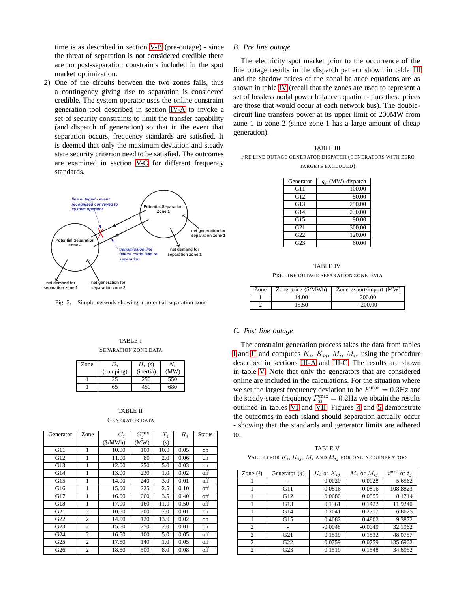time is as described in section [V-B](#page-4-3) (pre-outage) - since the threat of separation is not considered credible there are no post-separation constraints included in the spot market optimization.

2) One of the circuits between the two zones fails, thus a contingency giving rise to separation is considered credible. The system operator uses the online constraint generation tool described in section [IV-A](#page-2-6) to invoke a set of security constraints to limit the transfer capability (and dispatch of generation) so that in the event that separation occurs, frequency standards are satisfied. It is deemed that only the maximum deviation and steady state security criterion need to be satisfied. The outcomes are examined in section [V-C](#page-4-4) for different frequency standards.



<span id="page-4-0"></span>Fig. 3. Simple network showing a potential separation zone

## TABLE I SEPARATION ZONE DATA

<span id="page-4-1"></span>

| Zone | D,        | $H_i$ (s) |      |
|------|-----------|-----------|------|
|      | (damping) | (inertia) | (MW) |
|      | 25        | 250       | 550  |
|      | 65        | 450       | 680  |

# TABLE II GENERATOR DATA

<span id="page-4-2"></span>

| Generator       | Zone           | $C_i$   | $G^{\overline{\text{max}}}_j$ | $T_j$ | $R_j$ | <b>Status</b> |
|-----------------|----------------|---------|-------------------------------|-------|-------|---------------|
|                 |                | (S/MWh) | (MW)                          | (s)   |       |               |
| G11             | 1              | 10.00   | 100                           | 10.0  | 0.05  | on            |
| G12             | 1              | 11.00   | 80                            | 2.0   | 0.06  | on            |
| G13             | 1              | 12.00   | 250                           | 5.0   | 0.03  | on            |
| G14             | 1              | 13.00   | 230                           | 1.0   | 0.02  | off           |
| G15             | 1              | 14.00   | 240                           | 3.0   | 0.01  | off           |
| G16             | 1              | 15.00   | 225                           | 2.5   | 0.10  | off           |
| G17             | 1              | 16.00   | 660                           | 3.5   | 0.40  | off           |
| G18             | 1              | 17.00   | 160                           | 11.0  | 0.50  | off           |
| G21             | $\overline{2}$ | 10.50   | 300                           | 7.0   | 0.01  | on            |
| G22             | $\overline{2}$ | 14.50   | 120                           | 13.0  | 0.02  | on            |
| G <sub>23</sub> | 2              | 15.50   | 250                           | 2.0   | 0.01  | on            |
| G <sub>24</sub> | 2              | 16.50   | 100                           | 5.0   | 0.05  | off           |
| G <sub>25</sub> | 2              | 17.50   | 140                           | 1.0   | 0.05  | off           |
| G26             | $\overline{c}$ | 18.50   | 500                           | 8.0   | 0.08  | off           |

#### <span id="page-4-3"></span>*B. Pre line outage*

The electricity spot market prior to the occurrence of the line outage results in the dispatch pattern shown in table [III](#page-4-5) and the shadow prices of the zonal balance equations are as shown in table [IV](#page-4-6) (recall that the zones are used to represent a set of lossless nodal power balance equation - thus these prices are those that would occur at each network bus). The doublecircuit line transfers power at its upper limit of 200MW from zone 1 to zone 2 (since zone 1 has a large amount of cheap generation).

<span id="page-4-5"></span>

| <b>TABLE III</b>                                         |
|----------------------------------------------------------|
| PRE LINE OUTAGE GENERATOR DISPATCH (GENERATORS WITH ZERO |
| TARGETS EXCLUDED)                                        |

| Generator       | $g_j$ (MW) dispatch |
|-----------------|---------------------|
| G11             | 100.00              |
| G12             | 80.00               |
| G13             | 250.00              |
| G14             | 230.00              |
| G15             | 90.00               |
| G21             | 300.00              |
| G <sub>22</sub> | 120.00              |
| G <sub>23</sub> | 60.00               |

TABLE IV PRE LINE OUTAGE SEPARATION ZONE DATA

<span id="page-4-6"></span>

| Zone | Zone price (\$/MWh) | Zone export/import (MW) |
|------|---------------------|-------------------------|
|      | 14.00               | 200.00                  |
|      | 15.50               | $-200.00$               |

#### <span id="page-4-4"></span>*C. Post line outage*

The constraint generation process takes the data from tables [I](#page-4-1) and [II](#page-4-2) and computes  $K_i$ ,  $K_{ij}$ ,  $M_i$ ,  $M_{ij}$  using the procedure described in sections [III-A](#page-1-3) and [III-C.](#page-2-7) The results are shown in table [V.](#page-4-7) Note that only the generators that are considered online are included in the calculations. For the situation where we set the largest frequency deviation to be  $F^{\text{max}} = 0.3 \text{Hz}$  and the steady-state frequency  $F_{ss}^{max} = 0.2$ Hz we obtain the results outlined in tables [VI](#page-5-0) and [VII.](#page-5-1) Figures [4](#page-5-2) and [5](#page-5-3) demonstrate the outcomes in each island should separation actually occur - showing that the standards and generator limits are adhered to.

TABLE V VALUES FOR  $K_i$ ,  $K_{ij}$ ,  $M_i$  and  $M_{ij}$  for online generators

<span id="page-4-7"></span>

| Zone $(i)$    | Generator $(i)$ | $K_i$ or $K_{ij}$ | $M_i$ or $M_{ii}$ | $t^{\max}$<br>or $t_i$ |
|---------------|-----------------|-------------------|-------------------|------------------------|
|               |                 | $-0.0020$         | $-0.0028$         | 5.6562                 |
|               | G11             | 0.0816            | 0.0816            | 108.8823               |
|               | G12             | 0.0680            | 0.0855            | 8.1714                 |
|               | G13             | 0.1361            | 0.1422            | 11.9240                |
|               | G14             | 0.2041            | 0.2717            | 6.8625                 |
|               | G15             | 0.4082            | 0.4802            | 9.3872                 |
| 2             |                 | $-0.0048$         | $-0.0049$         | 32.1962                |
| 2             | G <sub>21</sub> | 0.1519            | 0.1532            | 48.0757                |
| $\mathcal{D}$ | G <sub>22</sub> | 0.0759            | 0.0759            | 135.6962               |
| $\mathcal{D}$ | G <sub>23</sub> | 0.1519            | 0.1548            | 34.6952                |